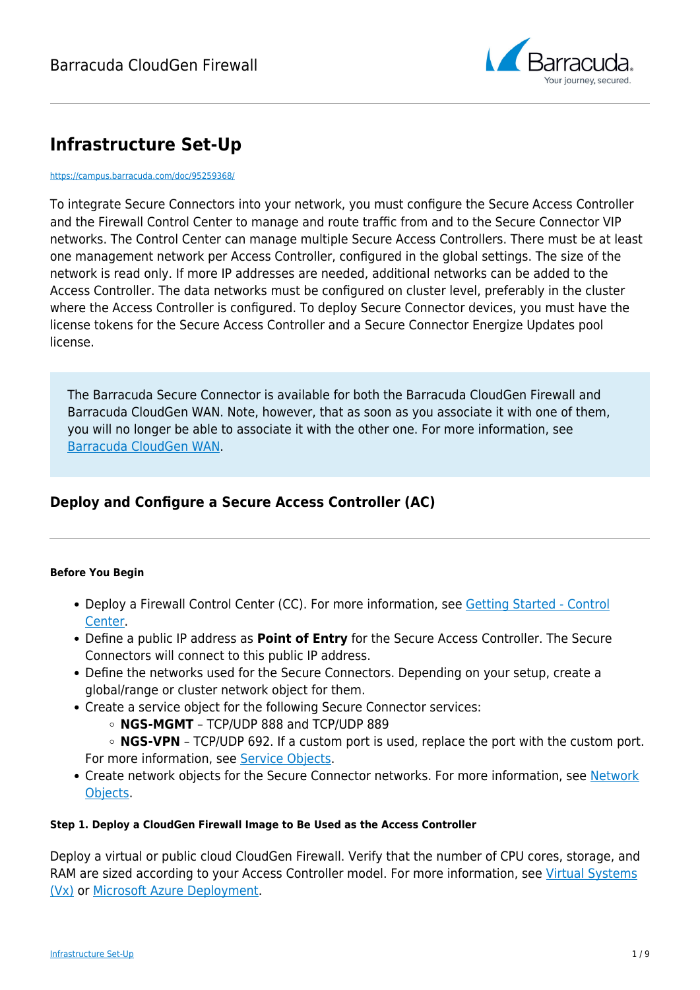

# **Infrastructure Set-Up**

#### <https://campus.barracuda.com/doc/95259368/>

To integrate Secure Connectors into your network, you must configure the Secure Access Controller and the Firewall Control Center to manage and route traffic from and to the Secure Connector VIP networks. The Control Center can manage multiple Secure Access Controllers. There must be at least one management network per Access Controller, configured in the global settings. The size of the network is read only. If more IP addresses are needed, additional networks can be added to the Access Controller. The data networks must be configured on cluster level, preferably in the cluster where the Access Controller is configured. To deploy Secure Connector devices, you must have the license tokens for the Secure Access Controller and a Secure Connector Energize Updates pool license.

The Barracuda Secure Connector is available for both the Barracuda CloudGen Firewall and Barracuda CloudGen WAN. Note, however, that as soon as you associate it with one of them, you will no longer be able to associate it with the other one. For more information, see [Barracuda CloudGen WAN](http://campus.barracuda.com/doc/91980633/).

## **Deploy and Configure a Secure Access Controller (AC)**

### **Before You Begin**

- Deploy a Firewall Control Center (CC). For more information, see [Getting Started Control](http://campus.barracuda.com/doc/95259030/) [Center.](http://campus.barracuda.com/doc/95259030/)
- Define a public IP address as **Point of Entry** for the Secure Access Controller. The Secure Connectors will connect to this public IP address.
- Define the networks used for the Secure Connectors. Depending on your setup, create a global/range or cluster network object for them.
- Create a service object for the following Secure Connector services:
	- **NGS-MGMT** TCP/UDP 888 and TCP/UDP 889
	- **NGS-VPN** TCP/UDP 692. If a custom port is used, replace the port with the custom port. For more information, see [Service Objects.](http://campus.barracuda.com/doc/95258901/)
- Create network objects for the Secure Connector networks. For more information, see [Network](http://campus.barracuda.com/doc/95258886/) [Objects.](http://campus.barracuda.com/doc/95258886/)

### **Step 1. Deploy a CloudGen Firewall Image to Be Used as the Access Controller**

Deploy a virtual or public cloud CloudGen Firewall. Verify that the number of CPU cores, storage, and RAM are sized according to your Access Controller model. For more information, see [Virtual Systems](http://campus.barracuda.com/doc/95259215/) [\(Vx\)](http://campus.barracuda.com/doc/95259215/) or [Microsoft Azure Deployment.](http://campus.barracuda.com/doc/95259232/)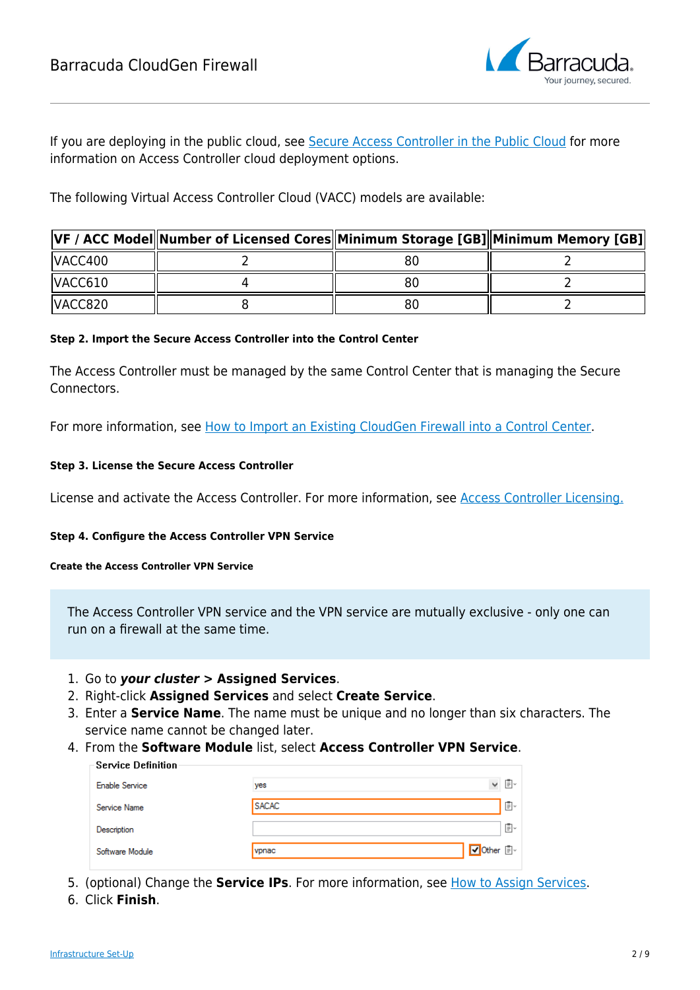

If you are deploying in the public cloud, see [Secure Access Controller in the Public Cloud](http://campus.barracuda.com/doc/95259375/) for more information on Access Controller cloud deployment options.

The following Virtual Access Controller Cloud (VACC) models are available:

|         | VF / ACC Model  Number of Licensed Cores  Minimum Storage [GB]  Minimum Memory [GB] |  |
|---------|-------------------------------------------------------------------------------------|--|
| VACC400 |                                                                                     |  |
| VACC610 |                                                                                     |  |
| VACC820 |                                                                                     |  |

### **Step 2. Import the Secure Access Controller into the Control Center**

The Access Controller must be managed by the same Control Center that is managing the Secure Connectors.

For more information, see [How to Import an Existing CloudGen Firewall into a Control Center.](http://campus.barracuda.com/doc/95259044/)

### **Step 3. License the Secure Access Controller**

License and activate the Access Controller. For more information, see [Access Controller Licensing](http://campus.barracuda.com/doc/95259369/)[.](http://campus.barracuda.com/doc/95259047/)

### **Step 4. Configure the Access Controller VPN Service**

### **Create the Access Controller VPN Service**

The Access Controller VPN service and the VPN service are mutually exclusive - only one can run on a firewall at the same time.

- 1. Go to *your cluster* **> Assigned Services**.
- 2. Right-click **Assigned Services** and select **Create Service**.
- 3. Enter a **Service Name**. The name must be unique and no longer than six characters. The service name cannot be changed later.
- 4. From the **Software Module** list, select **Access Controller VPN Service**.

| Service Definition:   |              |              |    |
|-----------------------|--------------|--------------|----|
| <b>Enable Service</b> | yes          | $\checkmark$ | ß. |
| Service Name          | <b>SACAC</b> |              | Ē. |
| Description           |              |              | 圁∽ |
| Software Module       | vpnac        | V Other 国    |    |

- 5. (optional) Change the **Service IPs**. For more information, see [How to Assign Services.](http://campus.barracuda.com/doc/95259356/)
- 6. Click **Finish**.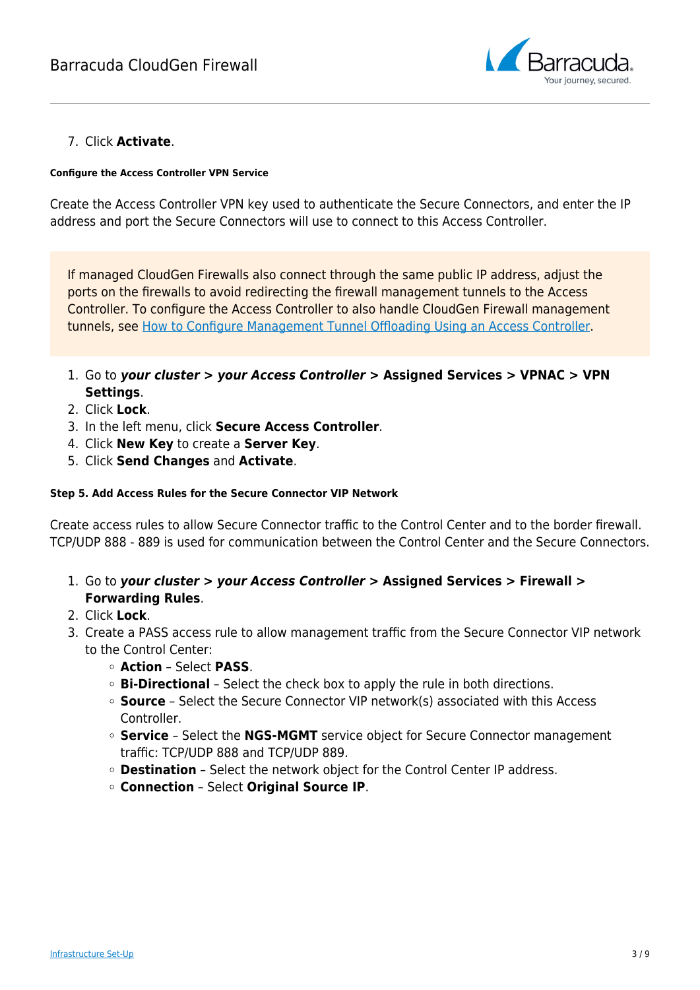

### 7. Click **Activate**.

### **Configure the Access Controller VPN Service**

Create the Access Controller VPN key used to authenticate the Secure Connectors, and enter the IP address and port the Secure Connectors will use to connect to this Access Controller.

If managed CloudGen Firewalls also connect through the same public IP address, adjust the ports on the firewalls to avoid redirecting the firewall management tunnels to the Access Controller. To configure the Access Controller to also handle CloudGen Firewall management tunnels, see [How to Configure Management Tunnel Offloading Using an Access Controller.](http://campus.barracuda.com/doc/95259057/)

- 1. Go to *your cluster > your Access Controller >* **Assigned Services > VPNAC > VPN Settings**.
- 2. Click **Lock**.
- 3. In the left menu, click **Secure Access Controller**.
- 4. Click **New Key** to create a **Server Key**.
- 5. Click **Send Changes** and **Activate**.

### **Step 5. Add Access Rules for the Secure Connector VIP Network**

Create access rules to allow Secure Connector traffic to the Control Center and to the border firewall. TCP/UDP 888 - 889 is used for communication between the Control Center and the Secure Connectors.

- 1. Go to *your cluster > your Access Controller >* **Assigned Services > Firewall > Forwarding Rules**.
- 2. Click **Lock**.
- 3. Create a PASS access rule to allow management traffic from the Secure Connector VIP network to the Control Center:
	- **Action** Select **PASS**.
	- **Bi-Directional** Select the check box to apply the rule in both directions.
	- **Source** Select the Secure Connector VIP network(s) associated with this Access Controller.
	- **Service** Select the **NGS-MGMT** service object for Secure Connector management traffic: TCP/UDP 888 and TCP/UDP 889.
	- **Destination** Select the network object for the Control Center IP address.
	- **Connection** Select **Original Source IP**.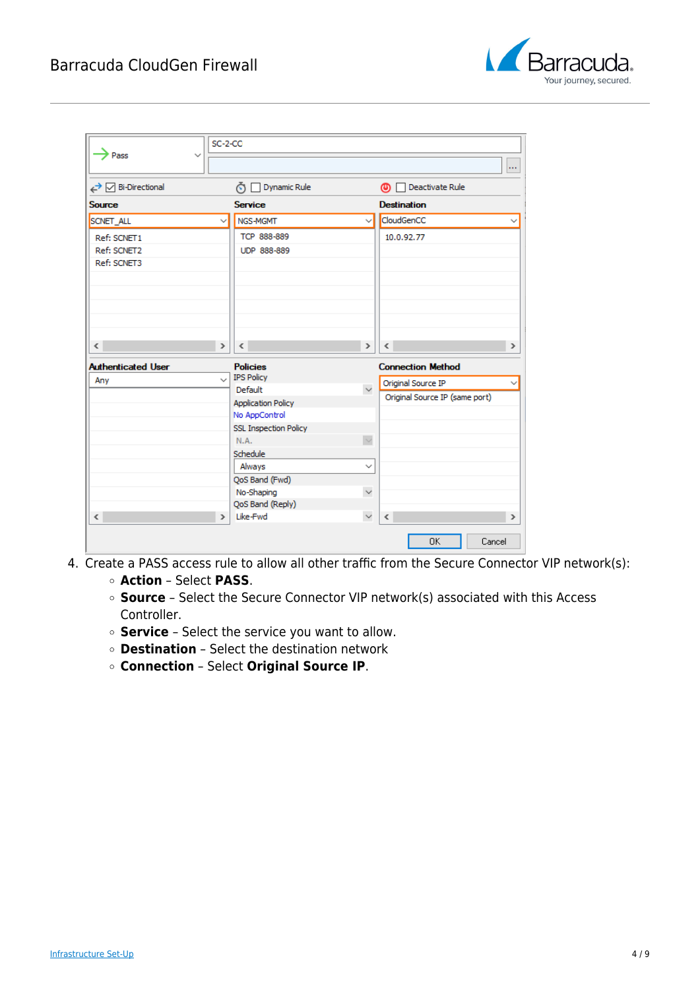

| Pass                      | $SC-2-CC$<br>$\checkmark$ |                                            |               |                                |               |
|---------------------------|---------------------------|--------------------------------------------|---------------|--------------------------------|---------------|
| ← M Bi-Directional        |                           | Dynamic Rule<br>ÕΙ                         |               | Deactivate Rule<br>ை           | in.           |
| <b>Source</b>             |                           | <b>Service</b>                             |               | <b>Destination</b>             |               |
|                           |                           |                                            |               |                                |               |
| SCNET_ALL                 | $\checkmark$              | NGS-MGMT                                   | $\checkmark$  | CloudGenCC                     |               |
| Ref: SCNET1               |                           | TCP 888-889                                |               | 10.0.92.77                     |               |
| Ref: SCNET2               |                           | UDP 888-889                                |               |                                |               |
| Ref: SCNET3               |                           |                                            |               |                                |               |
| $\langle$                 | $\rightarrow$             | $\,<\,$                                    | $\mathcal{P}$ | $\leq$                         | $\,$          |
| <b>Authenticated User</b> |                           | <b>Policies</b>                            |               | <b>Connection Method</b>       |               |
| Any                       | $\checkmark$              | <b>IPS Policy</b><br>Default               | $\checkmark$  | Original Source IP             |               |
|                           |                           |                                            |               | Original Source IP (same port) |               |
|                           |                           | <b>Application Policy</b><br>No AppControl |               |                                |               |
|                           |                           | <b>SSL Inspection Policy</b>               |               |                                |               |
|                           |                           | N.A.                                       | $\checkmark$  |                                |               |
|                           |                           | Schedule                                   |               |                                |               |
|                           |                           | Always                                     | $\checkmark$  |                                |               |
|                           |                           | QoS Band (Fwd)                             |               |                                |               |
|                           |                           | No-Shaping                                 | $\checkmark$  |                                |               |
|                           |                           | QoS Band (Reply)                           |               |                                |               |
| $\overline{\phantom{a}}$  | $\rightarrow$             | Like-Fwd                                   | $\checkmark$  | $\epsilon$                     | $\rightarrow$ |
|                           |                           |                                            |               | 0K<br>Cancel                   |               |

- 4. Create a PASS access rule to allow all other traffic from the Secure Connector VIP network(s):
	- **Action** Select **PASS**.
	- **Source** Select the Secure Connector VIP network(s) associated with this Access Controller.
	- **Service** Select the service you want to allow.
	- **Destination** Select the destination network
	- **Connection** Select **Original Source IP**.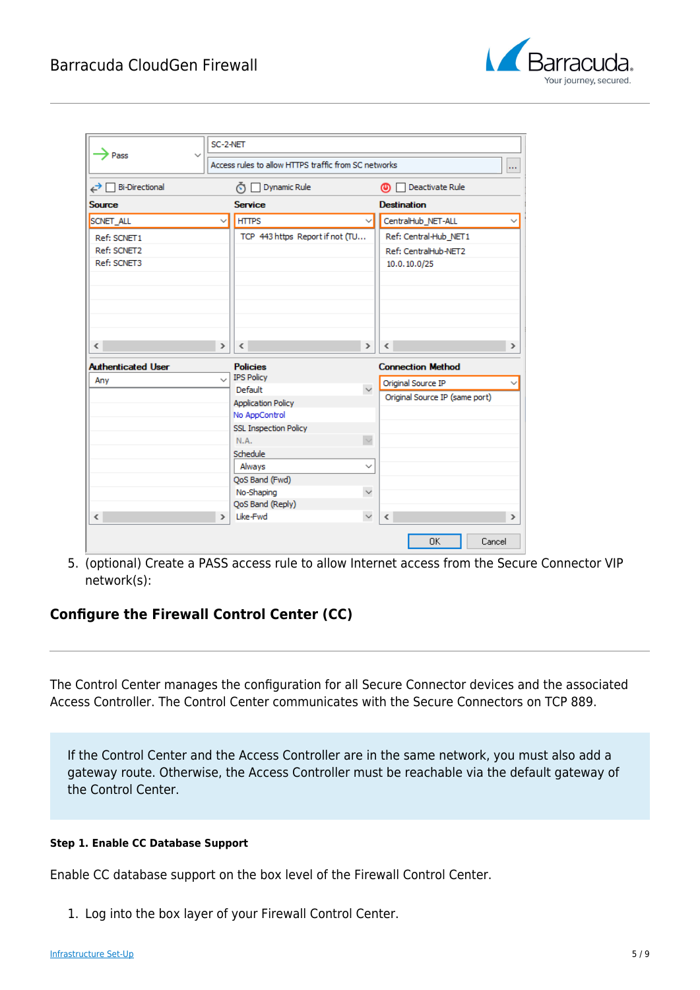

|                                                       | SC-2-NET      |                                                      |               |                                        |               |
|-------------------------------------------------------|---------------|------------------------------------------------------|---------------|----------------------------------------|---------------|
| Pass<br>$\checkmark$                                  |               | Access rules to allow HTTPS traffic from SC networks |               |                                        | m.            |
| <b>Bi-Directional</b><br>↩                            |               | Dynamic Rule<br>⊙                                    |               | Deactivate Rule<br>ത                   |               |
| <b>Source</b>                                         |               | <b>Service</b>                                       |               | <b>Destination</b>                     |               |
| <b>SCNET ALL</b>                                      | $\checkmark$  | <b>HTTPS</b>                                         | $\checkmark$  | CentralHub NET-ALL                     |               |
| Ref: SCNET1                                           |               | TCP 443 https Report if not (TU                      |               | Ref: Central-Hub_NET1                  |               |
| Ref: SCNET2                                           |               |                                                      |               | Ref: CentralHub-NET2                   |               |
| Ref: SCNET3                                           |               |                                                      |               | 10.0.10.0/25                           |               |
| $\overline{\phantom{a}}$<br><b>Authenticated User</b> | $\rightarrow$ | $\langle$<br><b>Policies</b>                         | $\rightarrow$ | $\epsilon$<br><b>Connection Method</b> | $\rightarrow$ |
| Any                                                   | $\checkmark$  | <b>IPS Policy</b>                                    |               | Original Source IP                     |               |
|                                                       |               | Default                                              | $\checkmark$  | Original Source IP (same port)         |               |
|                                                       |               | <b>Application Policy</b>                            |               |                                        |               |
|                                                       |               | No AppControl                                        |               |                                        |               |
|                                                       |               | <b>SSL Inspection Policy</b>                         |               |                                        |               |
|                                                       |               | N.A.                                                 |               |                                        |               |
|                                                       |               | Schedule                                             |               |                                        |               |
|                                                       |               | Always                                               | $\checkmark$  |                                        |               |
|                                                       |               | QoS Band (Fwd)                                       |               |                                        |               |
|                                                       |               | No-Shaping                                           | $\checkmark$  |                                        |               |
|                                                       |               | QoS Band (Reply)                                     |               |                                        |               |
| $\overline{\phantom{a}}$                              | $\rightarrow$ | Like-Fwd                                             | $\checkmark$  | $\epsilon$                             | $\mathcal{P}$ |
|                                                       |               |                                                      |               | OK<br>Cancel                           |               |

5. (optional) Create a PASS access rule to allow Internet access from the Secure Connector VIP network(s):

### **Configure the Firewall Control Center (CC)**

The Control Center manages the configuration for all Secure Connector devices and the associated Access Controller. The Control Center communicates with the Secure Connectors on TCP 889.

If the Control Center and the Access Controller are in the same network, you must also add a gateway route. Otherwise, the Access Controller must be reachable via the default gateway of the Control Center.

### **Step 1. Enable CC Database Support**

Enable CC database support on the box level of the Firewall Control Center.

1. Log into the box layer of your Firewall Control Center.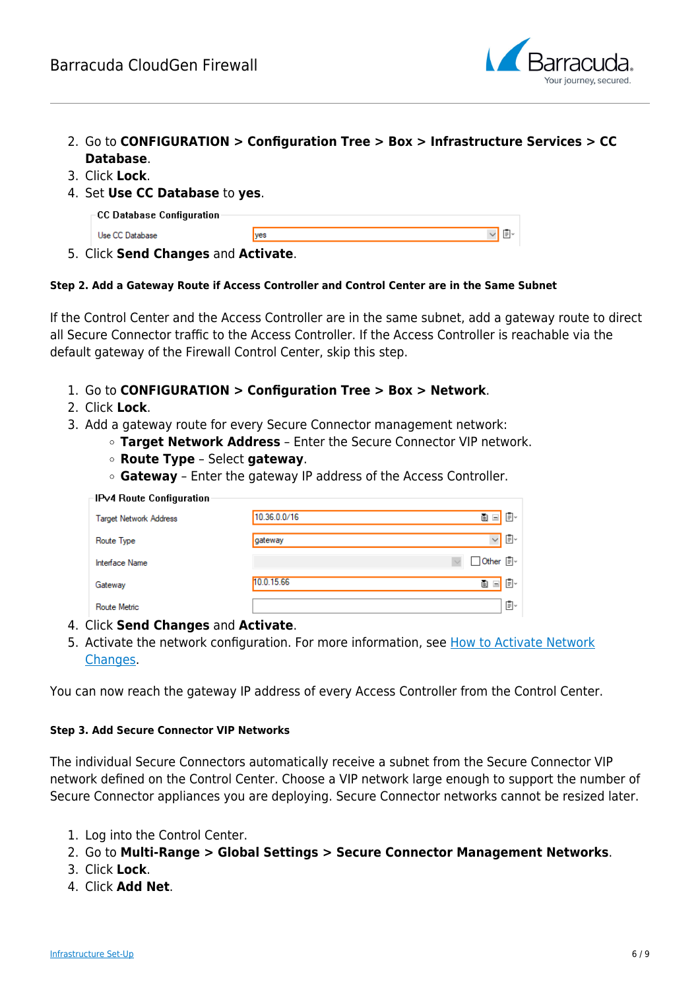

- 2. Go to **CONFIGURATION > Configuration Tree > Box > Infrastructure Services > CC Database**.
- 3. Click **Lock**.
- 4. Set **Use CC Database** to **yes**.

| $\mathop{\mathsf{.\neg CCA}}$ Database Configuration- |     |  |
|-------------------------------------------------------|-----|--|
| Use CC Database                                       | ves |  |
|                                                       |     |  |

5. Click **Send Changes** and **Activate**.

### **Step 2. Add a Gateway Route if Access Controller and Control Center are in the Same Subnet**

If the Control Center and the Access Controller are in the same subnet, add a gateway route to direct all Secure Connector traffic to the Access Controller. If the Access Controller is reachable via the default gateway of the Firewall Control Center, skip this step.

- 1. Go to **CONFIGURATION > Configuration Tree > Box > Network**.
- 2. Click **Lock**.
- 3. Add a gateway route for every Secure Connector management network:
	- **Target Network Address** Enter the Secure Connector VIP network.
	- **Route Type** Select **gateway**.
	- **Gateway** Enter the gateway IP address of the Access Controller.

| IPv4 Route Configuration      |              |                    |
|-------------------------------|--------------|--------------------|
| <b>Target Network Address</b> | 10.36.0.0/16 | 目。<br>O EI         |
| Route Type                    | gateway      | Ō.<br>$\checkmark$ |
| <b>Interface Name</b>         |              | □ Other     -      |
| Gateway                       | 10.0.15.66   | ቡ∽<br>Ð<br>$=$     |
| Route Metric                  |              | Ō×                 |

- 4. Click **Send Changes** and **Activate**.
- 5. Activate the network configuration. For more information, see [How to Activate Network](http://campus.barracuda.com/doc/95258651/) [Changes.](http://campus.barracuda.com/doc/95258651/)

You can now reach the gateway IP address of every Access Controller from the Control Center.

### **Step 3. Add Secure Connector VIP Networks**

The individual Secure Connectors automatically receive a subnet from the Secure Connector VIP network defined on the Control Center. Choose a VIP network large enough to support the number of Secure Connector appliances you are deploying. Secure Connector networks cannot be resized later.

- 1. Log into the Control Center.
- 2. Go to **Multi-Range > Global Settings > Secure Connector Management Networks**.
- 3. Click **Lock**.
- 4. Click **Add Net**.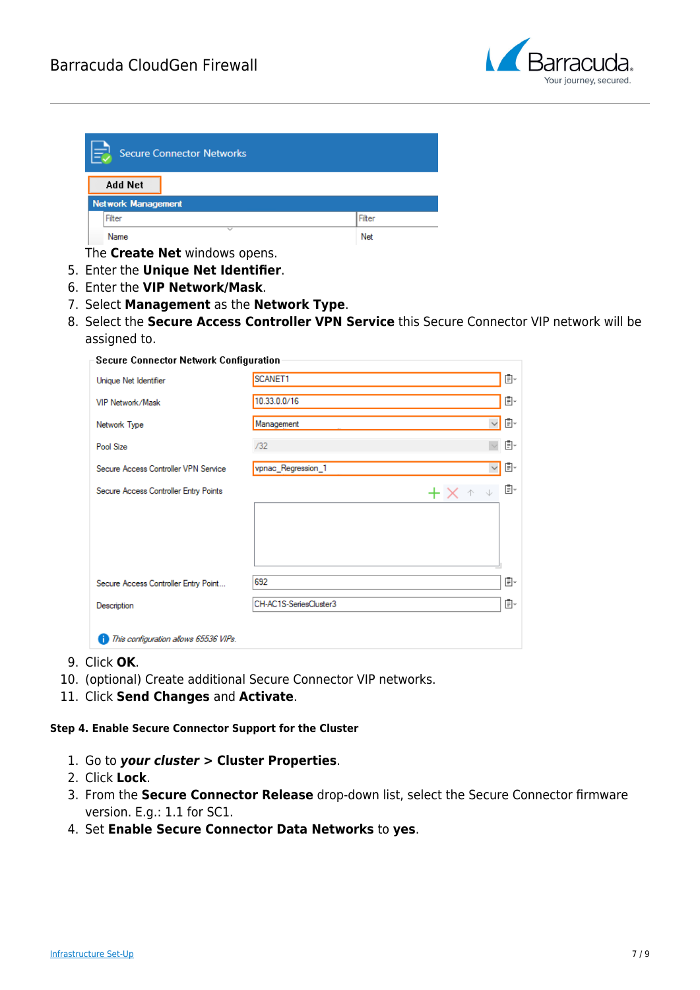

| E<br><b>Secure Connector Networks</b> |        |  |
|---------------------------------------|--------|--|
| <b>Add Net</b>                        |        |  |
| <b>Network Management</b>             |        |  |
| Filter                                | Filter |  |
| $\checkmark$<br>Name                  | Net    |  |

The **Create Net** windows opens.

- 5. Enter the **Unique Net Identifier**.
- 6. Enter the **VIP Network/Mask**.
- 7. Select **Management** as the **Network Type**.
- 8. Select the **Secure Access Controller VPN Service** this Secure Connector VIP network will be assigned to.

| <b>Secure Connector Network Configuration</b> |                                    |    |  |
|-----------------------------------------------|------------------------------------|----|--|
| Unique Net Identifier                         | SCANET1                            | Ē× |  |
| VIP Network/Mask                              | 10.33.0.0/16                       | Ō. |  |
| Network Type                                  | Management<br>$\vee$ .             | Ē× |  |
| Pool Size                                     | /32                                | Ē. |  |
| Secure Access Controller VPN Service          | vpnac_Regression_1<br>$\checkmark$ | Ō. |  |
| Secure Access Controller Entry Points         | $+ \times +$                       | Ē. |  |
|                                               |                                    |    |  |
| Secure Access Controller Entry Point          | 692                                | Ē× |  |
| Description                                   | CH-AC1S-SeriesCluster3             | Ē× |  |
| This configuration allows 65536 VIPs.         |                                    |    |  |

- 9. Click **OK**.
- 10. (optional) Create additional Secure Connector VIP networks.
- 11. Click **Send Changes** and **Activate**.

### **Step 4. Enable Secure Connector Support for the Cluster**

- 1. Go to *your cluster >* **Cluster Properties**.
- 2. Click **Lock**.
- 3. From the **Secure Connector Release** drop-down list, select the Secure Connector firmware version. E.g.: 1.1 for SC1.
- 4. Set **Enable Secure Connector Data Networks** to **yes**.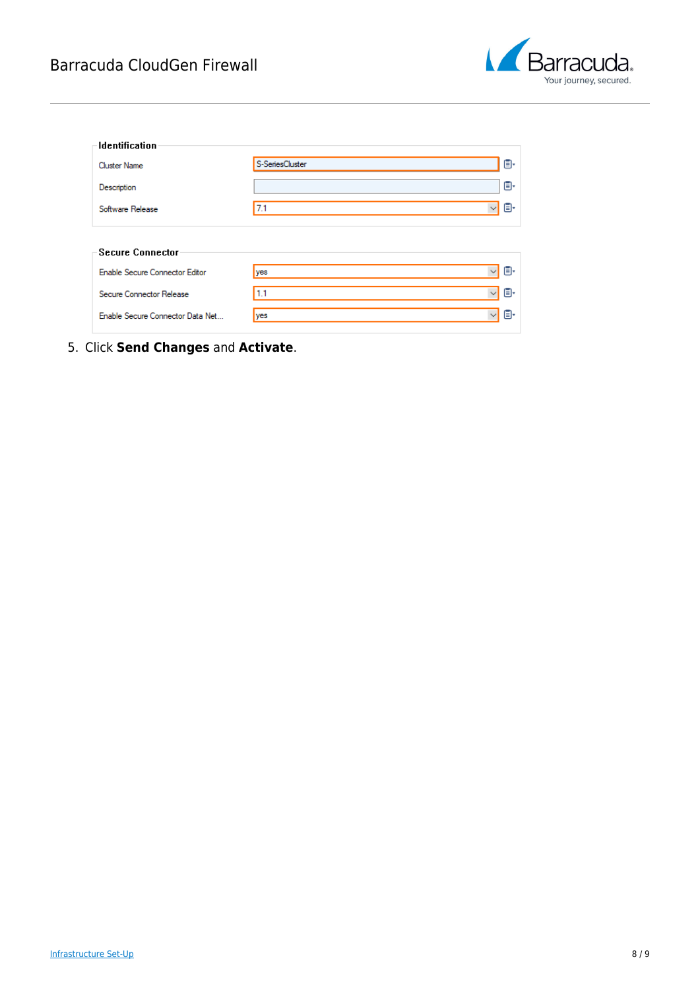

| <b>Identification</b>            |                           |
|----------------------------------|---------------------------|
| <b>Cluster Name</b>              | o-<br>S-SeriesCluster     |
| Description                      | Ō۰                        |
| Software Release                 | O.<br>$\vee$<br>7.1       |
| <b>Secure Connector</b>          |                           |
| Enable Secure Connector Editor   | O.<br>$\vee$<br>yes       |
| Secure Connector Release         | O.<br>1.1<br>$\checkmark$ |
| Enable Secure Connector Data Net | o-<br>$\checkmark$<br>yes |

5. Click **Send Changes** and **Activate**.